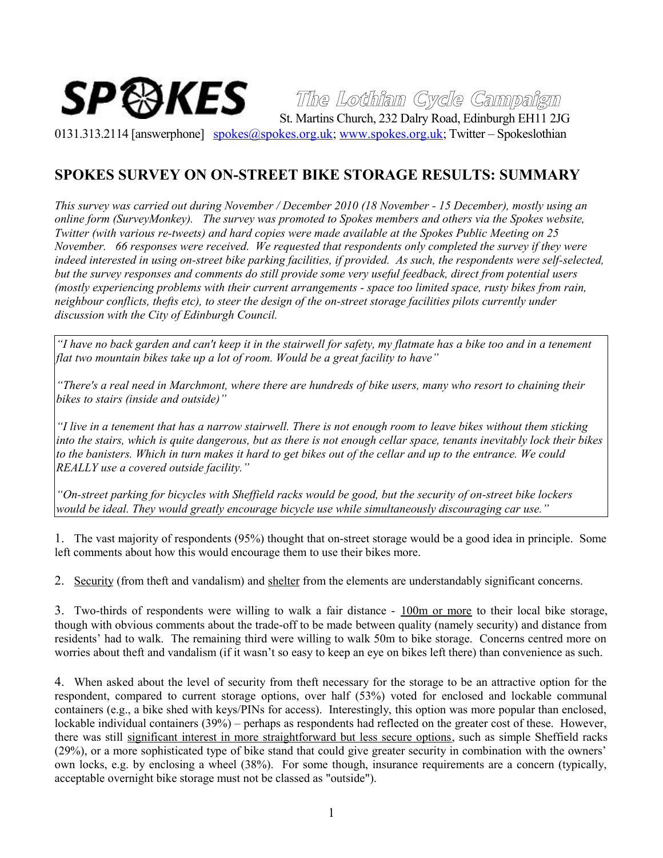

## **The Lothian Cycle Campaign**

0131.313.2114 [answerphone] [spokes@spokes.org.uk;](mailto:spokes@spokes.org.uk) [www.spokes.org.uk;](http://www.spokes.org.uk/) Twitter – Spokeslothian

## **SPOKES SURVEY ON ON-STREET BIKE STORAGE RESULTS: SUMMARY**

*This survey was carried out during November / December 2010 (18 November - 15 December), mostly using an online form (SurveyMonkey). The survey was promoted to Spokes members and others via the Spokes website, Twitter (with various re-tweets) and hard copies were made available at the Spokes Public Meeting on 25 November. 66 responses were received. We requested that respondents only completed the survey if they were indeed interested in using on-street bike parking facilities, if provided. As such, the respondents were self-selected, but the survey responses and comments do still provide some very useful feedback, direct from potential users (mostly experiencing problems with their current arrangements - space too limited space, rusty bikes from rain, neighbour conflicts, thefts etc), to steer the design of the on-street storage facilities pilots currently under discussion with the City of Edinburgh Council.*

*"I have no back garden and can't keep it in the stairwell for safety, my flatmate has a bike too and in a tenement flat two mountain bikes take up a lot of room. Would be a great facility to have"*

*"There's a real need in Marchmont, where there are hundreds of bike users, many who resort to chaining their bikes to stairs (inside and outside)"*

*"I live in a tenement that has a narrow stairwell. There is not enough room to leave bikes without them sticking into the stairs, which is quite dangerous, but as there is not enough cellar space, tenants inevitably lock their bikes to the banisters. Which in turn makes it hard to get bikes out of the cellar and up to the entrance. We could REALLY use a covered outside facility."* 

*"On-street parking for bicycles with Sheffield racks would be good, but the security of on-street bike lockers would be ideal. They would greatly encourage bicycle use while simultaneously discouraging car use."* 

1. The vast majority of respondents (95%) thought that on-street storage would be a good idea in principle. Some left comments about how this would encourage them to use their bikes more.

2. Security (from theft and vandalism) and shelter from the elements are understandably significant concerns.

3. Two-thirds of respondents were willing to walk a fair distance - 100m or more to their local bike storage, though with obvious comments about the trade-off to be made between quality (namely security) and distance from residents' had to walk. The remaining third were willing to walk 50m to bike storage. Concerns centred more on worries about theft and vandalism (if it wasn't so easy to keep an eye on bikes left there) than convenience as such.

4. When asked about the level of security from theft necessary for the storage to be an attractive option for the respondent, compared to current storage options, over half (53%) voted for enclosed and lockable communal containers (e.g., a bike shed with keys/PINs for access). Interestingly, this option was more popular than enclosed, lockable individual containers (39%) – perhaps as respondents had reflected on the greater cost of these. However, there was still significant interest in more straightforward but less secure options, such as simple Sheffield racks (29%), or a more sophisticated type of bike stand that could give greater security in combination with the owners' own locks, e.g. by enclosing a wheel (38%). For some though, insurance requirements are a concern (typically, acceptable overnight bike storage must not be classed as "outside").